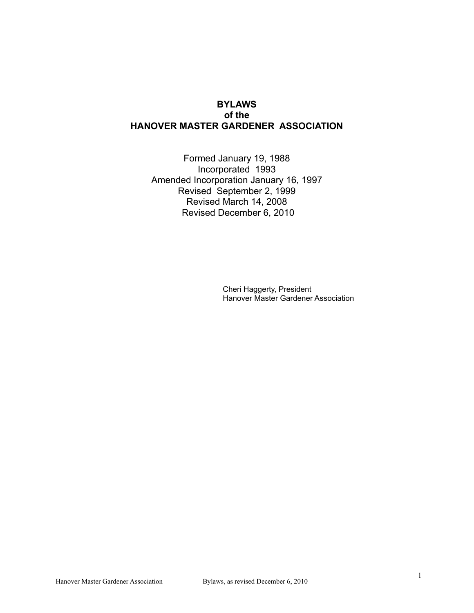#### **BYLAWS of the HANOVER MASTER GARDENER ASSOCIATION**

Formed January 19, 1988 Incorporated 1993 Amended Incorporation January 16, 1997 Revised September 2, 1999 Revised March 14, 2008 Revised December 6, 2010

> Cheri Haggerty, President Hanover Master Gardener Association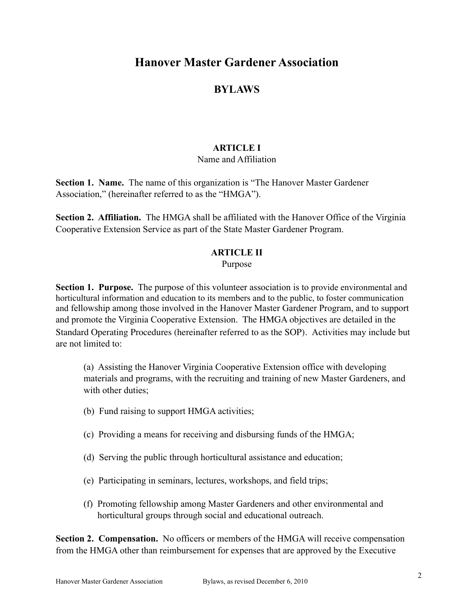## **Hanover Master Gardener Association**

## **BYLAWS**

#### **ARTICLE I**

#### Name and Affiliation

**Section 1. Name.** The name of this organization is "The Hanover Master Gardener Association," (hereinafter referred to as the "HMGA").

**Section 2. Affiliation.** The HMGA shall be affiliated with the Hanover Office of the Virginia Cooperative Extension Service as part of the State Master Gardener Program.

#### **ARTICLE II**

Purpose

**Section 1. Purpose.** The purpose of this volunteer association is to provide environmental and horticultural information and education to its members and to the public, to foster communication and fellowship among those involved in the Hanover Master Gardener Program, and to support and promote the Virginia Cooperative Extension. The HMGA objectives are detailed in the Standard Operating Procedures (hereinafter referred to as the SOP). Activities may include but are not limited to:

(a) Assisting the Hanover Virginia Cooperative Extension office with developing materials and programs, with the recruiting and training of new Master Gardeners, and with other duties:

- (b) Fund raising to support HMGA activities;
- (c) Providing a means for receiving and disbursing funds of the HMGA;
- (d) Serving the public through horticultural assistance and education;
- (e) Participating in seminars, lectures, workshops, and field trips;
- (f) Promoting fellowship among Master Gardeners and other environmental and horticultural groups through social and educational outreach.

**Section 2. Compensation.** No officers or members of the HMGA will receive compensation from the HMGA other than reimbursement for expenses that are approved by the Executive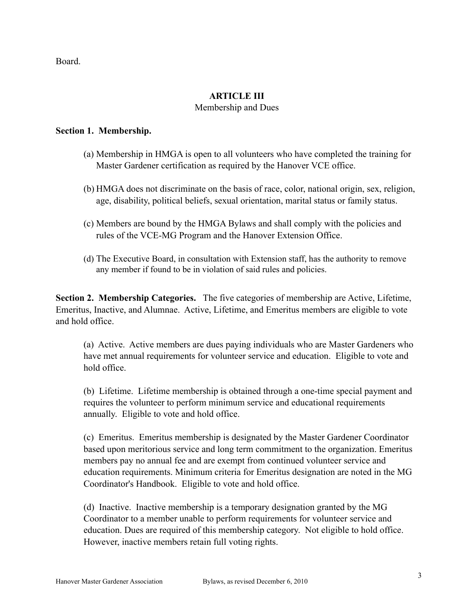Board.

## **ARTICLE III**

#### Membership and Dues

#### **Section 1. Membership.**

- (a) Membership in HMGA is open to all volunteers who have completed the training for Master Gardener certification as required by the Hanover VCE office.
- (b) HMGA does not discriminate on the basis of race, color, national origin, sex, religion, age, disability, political beliefs, sexual orientation, marital status or family status.
- (c) Members are bound by the HMGA Bylaws and shall comply with the policies and rules of the VCE-MG Program and the Hanover Extension Office.
- (d) The Executive Board, in consultation with Extension staff, has the authority to remove any member if found to be in violation of said rules and policies.

**Section 2. Membership Categories.** The five categories of membership are Active, Lifetime, Emeritus, Inactive, and Alumnae. Active, Lifetime, and Emeritus members are eligible to vote and hold office.

(a) Active. Active members are dues paying individuals who are Master Gardeners who have met annual requirements for volunteer service and education. Eligible to vote and hold office.

(b) Lifetime. Lifetime membership is obtained through a one-time special payment and requires the volunteer to perform minimum service and educational requirements annually. Eligible to vote and hold office.

(c) Emeritus. Emeritus membership is designated by the Master Gardener Coordinator based upon meritorious service and long term commitment to the organization. Emeritus members pay no annual fee and are exempt from continued volunteer service and education requirements. Minimum criteria for Emeritus designation are noted in the MG Coordinator's Handbook. Eligible to vote and hold office.

(d) Inactive. Inactive membership is a temporary designation granted by the MG Coordinator to a member unable to perform requirements for volunteer service and education. Dues are required of this membership category. Not eligible to hold office. However, inactive members retain full voting rights.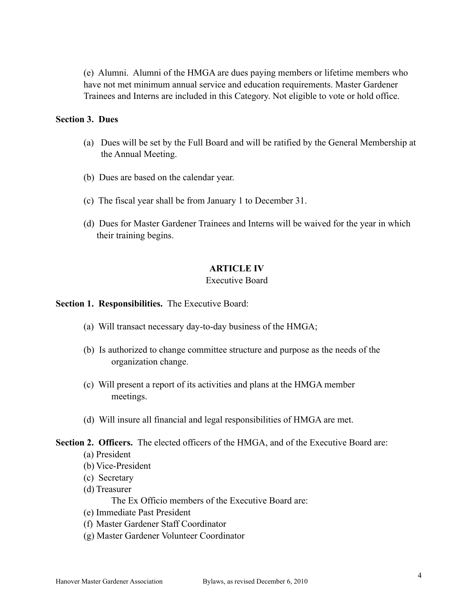(e) Alumni. Alumni of the HMGA are dues paying members or lifetime members who have not met minimum annual service and education requirements. Master Gardener Trainees and Interns are included in this Category. Not eligible to vote or hold office.

#### **Section 3. Dues**

- (a) Dues will be set by the Full Board and will be ratified by the General Membership at the Annual Meeting.
- (b) Dues are based on the calendar year.
- (c) The fiscal year shall be from January 1 to December 31.
- (d) Dues for Master Gardener Trainees and Interns will be waived for the year in which their training begins.

#### **ARTICLE IV**

#### Executive Board

**Section 1. Responsibilities.** The Executive Board:

- (a) Will transact necessary day-to-day business of the HMGA;
- (b) Is authorized to change committee structure and purpose as the needs of the organization change.
- (c) Will present a report of its activities and plans at the HMGA member meetings.
- (d) Will insure all financial and legal responsibilities of HMGA are met.

## **Section 2. Officers.** The elected officers of the HMGA, and of the Executive Board are:

- (a) President
- (b) Vice-President
- (c) Secretary
- (d) Treasurer

The Ex Officio members of the Executive Board are:

- (e) Immediate Past President
- (f) Master Gardener Staff Coordinator
- (g) Master Gardener Volunteer Coordinator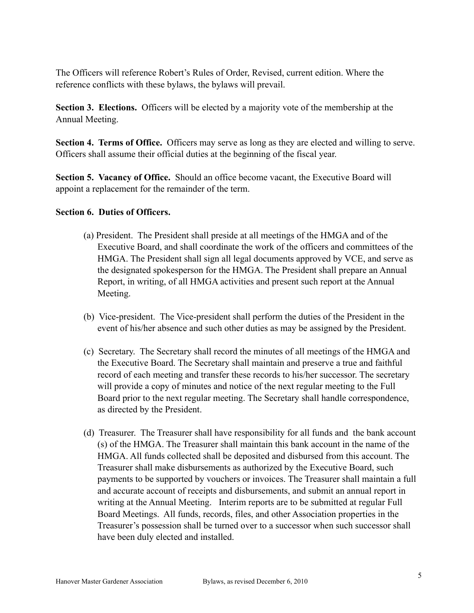The Officers will reference Robert's Rules of Order, Revised, current edition. Where the reference conflicts with these bylaws, the bylaws will prevail.

**Section 3. Elections.** Officers will be elected by a majority vote of the membership at the Annual Meeting.

**Section 4. Terms of Office.** Officers may serve as long as they are elected and willing to serve. Officers shall assume their official duties at the beginning of the fiscal year.

**Section 5. Vacancy of Office.** Should an office become vacant, the Executive Board will appoint a replacement for the remainder of the term.

#### **Section 6. Duties of Officers.**

- (a) President. The President shall preside at all meetings of the HMGA and of the Executive Board, and shall coordinate the work of the officers and committees of the HMGA. The President shall sign all legal documents approved by VCE, and serve as the designated spokesperson for the HMGA. The President shall prepare an Annual Report, in writing, of all HMGA activities and present such report at the Annual Meeting.
- (b) Vice-president. The Vice-president shall perform the duties of the President in the event of his/her absence and such other duties as may be assigned by the President.
- (c) Secretary. The Secretary shall record the minutes of all meetings of the HMGA and the Executive Board. The Secretary shall maintain and preserve a true and faithful record of each meeting and transfer these records to his/her successor. The secretary will provide a copy of minutes and notice of the next regular meeting to the Full Board prior to the next regular meeting. The Secretary shall handle correspondence, as directed by the President.
- (d) Treasurer. The Treasurer shall have responsibility for all funds and the bank account (s) of the HMGA. The Treasurer shall maintain this bank account in the name of the HMGA. All funds collected shall be deposited and disbursed from this account. The Treasurer shall make disbursements as authorized by the Executive Board, such payments to be supported by vouchers or invoices. The Treasurer shall maintain a full and accurate account of receipts and disbursements, and submit an annual report in writing at the Annual Meeting. Interim reports are to be submitted at regular Full Board Meetings. All funds, records, files, and other Association properties in the Treasurer's possession shall be turned over to a successor when such successor shall have been duly elected and installed.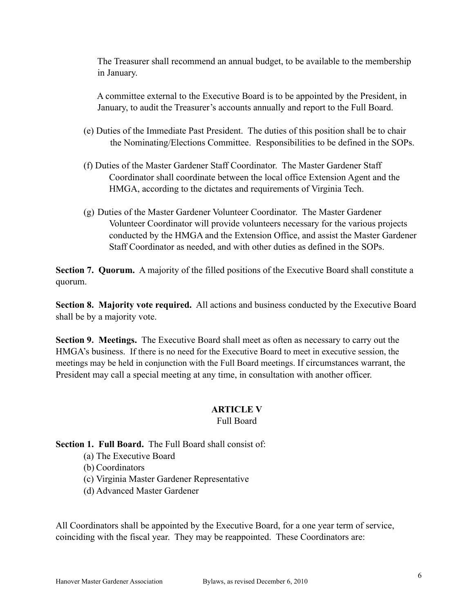The Treasurer shall recommend an annual budget, to be available to the membership in January.

 A committee external to the Executive Board is to be appointed by the President, in January, to audit the Treasurer's accounts annually and report to the Full Board.

- (e) Duties of the Immediate Past President. The duties of this position shall be to chair the Nominating/Elections Committee. Responsibilities to be defined in the SOPs.
- (f) Duties of the Master Gardener Staff Coordinator. The Master Gardener Staff Coordinator shall coordinate between the local office Extension Agent and the HMGA, according to the dictates and requirements of Virginia Tech.
- (g) Duties of the Master Gardener Volunteer Coordinator. The Master Gardener Volunteer Coordinator will provide volunteers necessary for the various projects conducted by the HMGA and the Extension Office, and assist the Master Gardener Staff Coordinator as needed, and with other duties as defined in the SOPs.

**Section 7. Quorum.** A majority of the filled positions of the Executive Board shall constitute a quorum.

**Section 8. Majority vote required.** All actions and business conducted by the Executive Board shall be by a majority vote.

**Section 9. Meetings.** The Executive Board shall meet as often as necessary to carry out the HMGA's business. If there is no need for the Executive Board to meet in executive session, the meetings may be held in conjunction with the Full Board meetings. If circumstances warrant, the President may call a special meeting at any time, in consultation with another officer.

#### **ARTICLE V**

#### Full Board

**Section 1. Full Board.** The Full Board shall consist of:

- (a) The Executive Board
- (b) Coordinators
- (c) Virginia Master Gardener Representative
- (d) Advanced Master Gardener

All Coordinators shall be appointed by the Executive Board, for a one year term of service, coinciding with the fiscal year. They may be reappointed. These Coordinators are: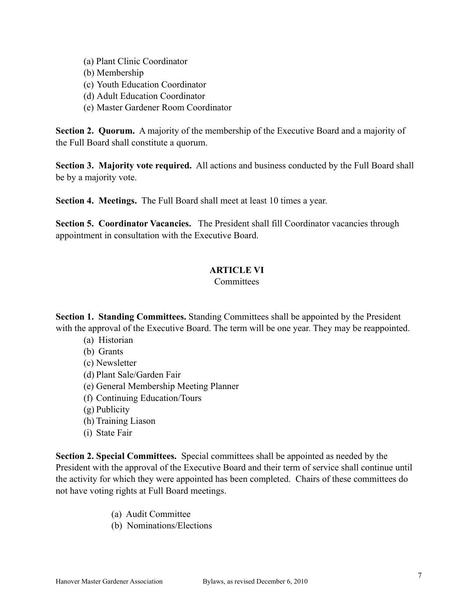- (a) Plant Clinic Coordinator
- (b) Membership
- (c) Youth Education Coordinator
- (d) Adult Education Coordinator
- (e) Master Gardener Room Coordinator

**Section 2. Quorum.** A majority of the membership of the Executive Board and a majority of the Full Board shall constitute a quorum.

**Section 3. Majority vote required.** All actions and business conducted by the Full Board shall be by a majority vote.

**Section 4. Meetings.** The Full Board shall meet at least 10 times a year.

**Section 5. Coordinator Vacancies.** The President shall fill Coordinator vacancies through appointment in consultation with the Executive Board.

#### **ARTICLE VI**

#### **Committees**

**Section 1. Standing Committees.** Standing Committees shall be appointed by the President with the approval of the Executive Board. The term will be one year. They may be reappointed.

- (a) Historian
- (b) Grants
- (c) Newsletter
- (d) Plant Sale/Garden Fair
- (e) General Membership Meeting Planner
- (f) Continuing Education/Tours
- (g) Publicity
- (h) Training Liason
- (i) State Fair

**Section 2. Special Committees.** Special committees shall be appointed as needed by the President with the approval of the Executive Board and their term of service shall continue until the activity for which they were appointed has been completed. Chairs of these committees do not have voting rights at Full Board meetings.

- (a) Audit Committee
- (b) Nominations/Elections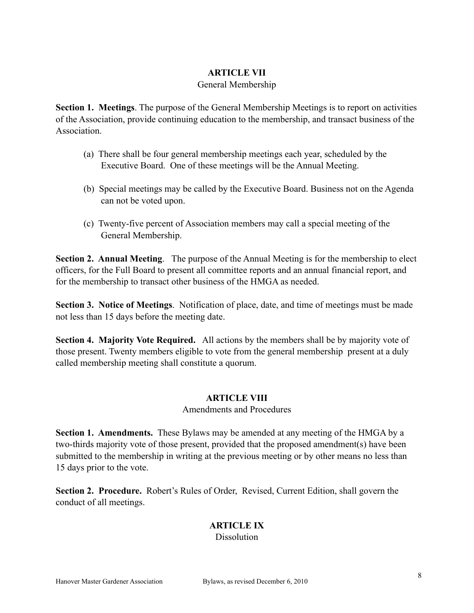#### **ARTICLE VII**

#### General Membership

**Section 1. Meetings**. The purpose of the General Membership Meetings is to report on activities of the Association, provide continuing education to the membership, and transact business of the Association.

- (a) There shall be four general membership meetings each year, scheduled by the Executive Board. One of these meetings will be the Annual Meeting.
- (b) Special meetings may be called by the Executive Board. Business not on the Agenda can not be voted upon.
- (c) Twenty-five percent of Association members may call a special meeting of the General Membership.

**Section 2. Annual Meeting**. The purpose of the Annual Meeting is for the membership to elect officers, for the Full Board to present all committee reports and an annual financial report, and for the membership to transact other business of the HMGA as needed.

**Section 3. Notice of Meetings**. Notification of place, date, and time of meetings must be made not less than 15 days before the meeting date.

**Section 4. Majority Vote Required.** All actions by the members shall be by majority vote of those present. Twenty members eligible to vote from the general membership present at a duly called membership meeting shall constitute a quorum.

#### **ARTICLE VIII**

#### Amendments and Procedures

**Section 1. Amendments.** These Bylaws may be amended at any meeting of the HMGA by a two-thirds majority vote of those present, provided that the proposed amendment(s) have been submitted to the membership in writing at the previous meeting or by other means no less than 15 days prior to the vote.

**Section 2. Procedure.** Robert's Rules of Order, Revised, Current Edition, shall govern the conduct of all meetings.

# **ARTICLE IX**

### **Dissolution**